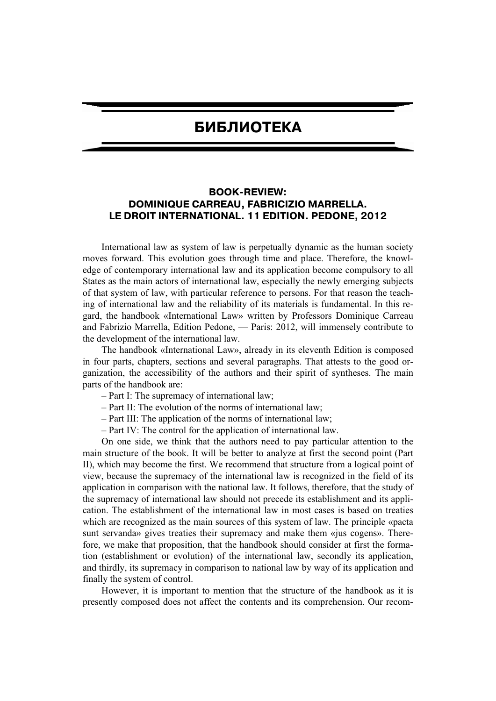## **БИБЛИОТЕКА**

## **BOOK-REVIEW: DOMINIQUE CARREAU, FABRICIZIO MARRELLA. LE DROIT INTERNATIONAL. 11 EDITION. PEDONE, 2012**

International law as system of law is perpetually dynamic as the human society moves forward. This evolution goes through time and place. Therefore, the knowledge of contemporary international law and its application become compulsory to all States as the main actors of international law, especially the newly emerging subjects of that system of law, with particular reference to persons. For that reason the teaching of international law and the reliability of its materials is fundamental. In this regard, the handbook «International Law» written by Professors Dominique Carreau and Fabrizio Marrella, Edition Pedone, — Paris: 2012, will immensely contribute to the development of the international law.

The handbook «International Law», already in its eleventh Edition is composed in four parts, chapters, sections and several paragraphs. That attests to the good organization, the accessibility of the authors and their spirit of syntheses. The main parts of the handbook are:

- Part I: The supremacy of international law;
- Part II: The evolution of the norms of international law;
- Part III: The application of the norms of international law;
- Part IV: The control for the application of international law.

On one side, we think that the authors need to pay particular attention to the main structure of the book. It will be better to analyze at first the second point (Part II), which may become the first. We recommend that structure from a logical point of view, because the supremacy of the international law is recognized in the field of its application in comparison with the national law. It follows, therefore, that the study of the supremacy of international law should not precede its establishment and its application. The establishment of the international law in most cases is based on treaties which are recognized as the main sources of this system of law. The principle «pacta sunt servanda» gives treaties their supremacy and make them «jus cogens». Therefore, we make that proposition, that the handbook should consider at first the formation (establishment or evolution) of the international law, secondly its application, and thirdly, its supremacy in comparison to national law by way of its application and finally the system of control.

However, it is important to mention that the structure of the handbook as it is presently composed does not affect the contents and its comprehension. Our recom